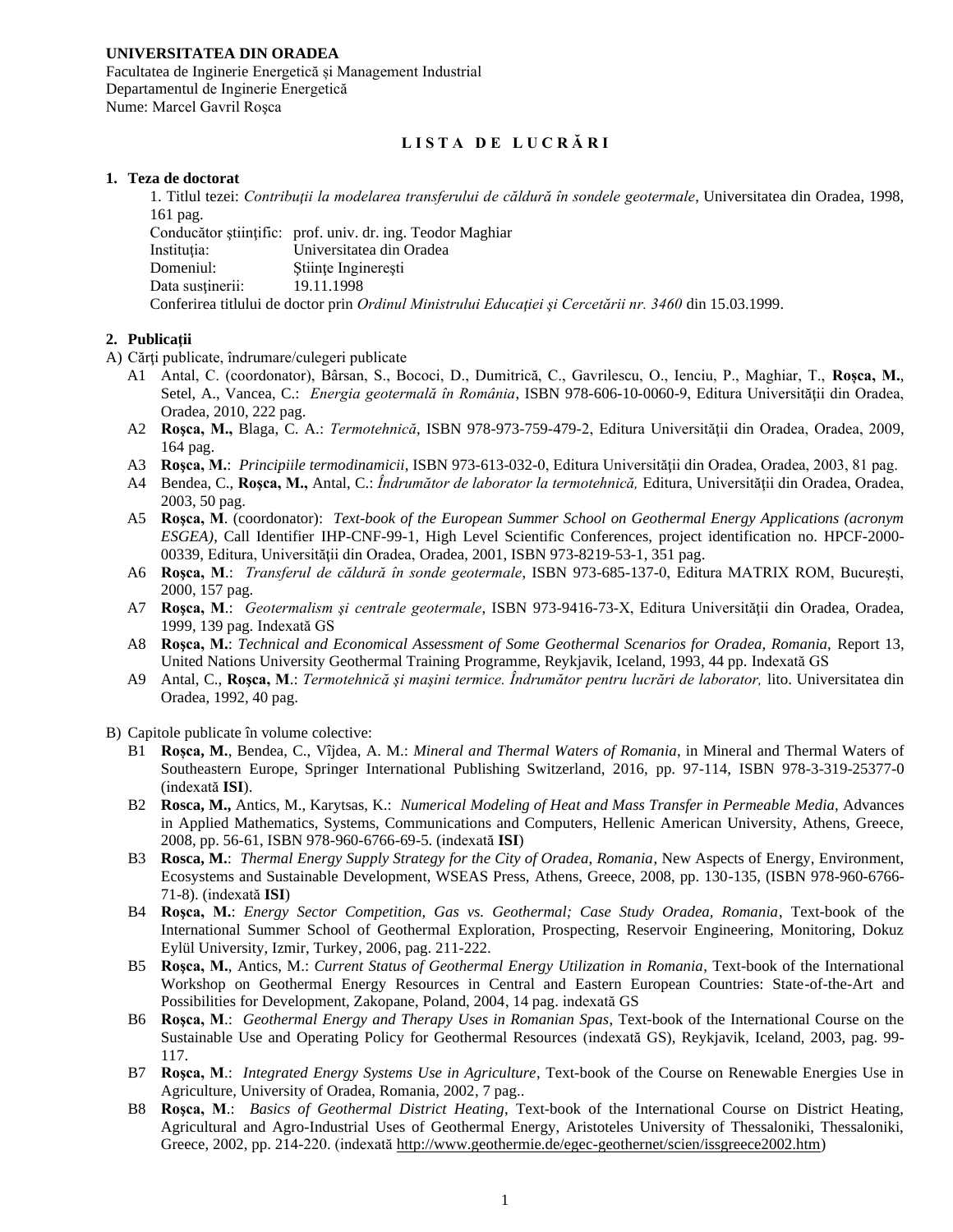# **UNIVERSITATEA DIN ORADEA**

Facultatea de Inginerie Energetică și Management Industrial Departamentul de Inginerie Energetică Nume: Marcel Gavril Roşca

# **L I S T A D E L U C R Ă R I**

### **1. Teza de doctorat**

1. Titlul tezei: *Contribuţii la modelarea transferului de căldură în sondele geotermale*, Universitatea din Oradea, 1998, 161 pag.

|                  | Conducător stiintific: prof. univ. dr. ing. Teodor Maghiar                                              |
|------------------|---------------------------------------------------------------------------------------------------------|
| Institutia:      | Universitatea din Oradea                                                                                |
| Domeniul:        | Stiinte Ingineresti                                                                                     |
| Data sustinerii: | 19.11.1998                                                                                              |
|                  | Conferirea titlului de doctor prin Ordinul Ministrului Educației și Cercetării nr. 3460 din 15.03.1999. |

## **2. Publicaţii**

- A) Cărţi publicate, îndrumare/culegeri publicate
	- A1 Antal, C. (coordonator), Bârsan, S., Bococi, D., Dumitrică, C., Gavrilescu, O., Ienciu, P., Maghiar, T., **Roșca, M.**, Setel, A., Vancea, C.: *Energia geotermală în România*, ISBN 978-606-10-0060-9, Editura Universității din Oradea, Oradea, 2010, 222 pag.
	- A2 **Roşca, M.,** Blaga, C. A.: *Termotehnică*, ISBN 978-973-759-479-2, Editura Universităţii din Oradea, Oradea, 2009, 164 pag.
	- A3 **Roşca, M.**: *Principiile termodinamicii*, ISBN 973-613-032-0, Editura Universităţii din Oradea, Oradea, 2003, 81 pag.
	- A4 Bendea, C., **Rosca, M.,** Antal, C.: *Îndrumător de laborator la termotehnică*, Editura, Universității din Oradea, Oradea, 2003, 50 pag.
	- A5 **Roşca, M**. (coordonator): *Text-book of the European Summer School on Geothermal Energy Applications (acronym ESGEA)*, Call Identifier IHP-CNF-99-1, High Level Scientific Conferences, project identification no. HPCF-2000- 00339, Editura, Universităţii din Oradea, Oradea, 2001, ISBN 973-8219-53-1, 351 pag.
	- A6 **Roşca, M**.: *Transferul de căldură în sonde geotermale*, ISBN 973-685-137-0, Editura MATRIX ROM, Bucureşti, 2000, 157 pag.
	- A7 **Roşca, M**.: *Geotermalism şi centrale geotermale*, ISBN 973-9416-73-X, Editura Universităţii din Oradea, Oradea, 1999, 139 pag. Indexată GS
	- A8 **Roşca, M.**: *Technical and Economical Assessment of Some Geothermal Scenarios for Oradea, Romania,* Report 13, United Nations University Geothermal Training Programme, Reykjavik, Iceland, 1993, 44 pp. Indexată GS
	- A9 Antal, C., **Roşca, M**.: *Termotehnică şi maşini termice. Îndrumător pentru lucrări de laborator,* lito. Universitatea din Oradea, 1992, 40 pag.
- <span id="page-0-1"></span><span id="page-0-0"></span>B) Capitole publicate în volume colective:
	- B1 **Roșca, M.**, Bendea, C., Vîjdea, A. M.: *Mineral and Thermal Waters of Romania*, in Mineral and Thermal Waters of Southeastern Europe, Springer International Publishing Switzerland, 2016, pp. 97-114, ISBN 978-3-319-25377-0 (indexată **ISI**).
	- B2 **Rosca, M.,** Antics, M., Karytsas, K.: *Numerical Modeling of Heat and Mass Transfer in Permeable Media*, Advances in Applied Mathematics, Systems, Communications and Computers, Hellenic American University, Athens, Greece, 2008, pp. 56-61, ISBN 978-960-6766-69-5. (indexată **ISI**)
	- B3 **Rosca, M.**: *Thermal Energy Supply Strategy for the City of Oradea, Romania*, New Aspects of Energy, Environment, Ecosystems and Sustainable Development, WSEAS Press, Athens, Greece, 2008, pp. 130-135, (ISBN 978-960-6766- 71-8). (indexată **ISI**)
	- B4 **Roşca, M.**: *Energy Sector Competition, Gas vs. Geothermal; Case Study Oradea, Romania*, Text-book of the International Summer School of Geothermal Exploration, Prospecting, Reservoir Engineering, Monitoring, Dokuz Eylül University, Izmir, Turkey, 2006, pag. 211-222.
	- B5 **Roşca, M.**, Antics, M.: *Current Status of Geothermal Energy Utilization in Romania*, Text-book of the International Workshop on Geothermal Energy Resources in Central and Eastern European Countries: State-of-the-Art and Possibilities for Development, Zakopane, Poland, 2004, 14 pag. indexată [GS](http://www.unugtp.is/solofile/534)
	- B6 **Roşca, M**.: *Geothermal Energy and Therapy Uses in Romanian Spas*, Text-book of the International Course on the Sustainable Use and Operating Policy for Geothermal Resources (indexată [GS\)](http://www.unugtp.is/solofile/534), Reykjavik, Iceland, 2003, pag. 99- 117.
	- B7 **Roşca, M**.: *Integrated Energy Systems Use in Agriculture*, Text-book of the Course on Renewable Energies Use in Agriculture, University of Oradea, Romania, 2002, 7 pag..
	- B8 **Roşca, M**.: *Basics of Geothermal District Heating*, Text-book of the International Course on District Heating, Agricultural and Agro-Industrial Uses of Geothermal Energy, Aristoteles University of Thessaloniki, Thessaloniki, Greece, 2002, pp. 214-220. (indexată [http://www.geothermie.de/egec-geothernet/scien/issgreece2002.htm\)](http://www.geothermie.de/egec-geothernet/scien/issgreece2002.htm)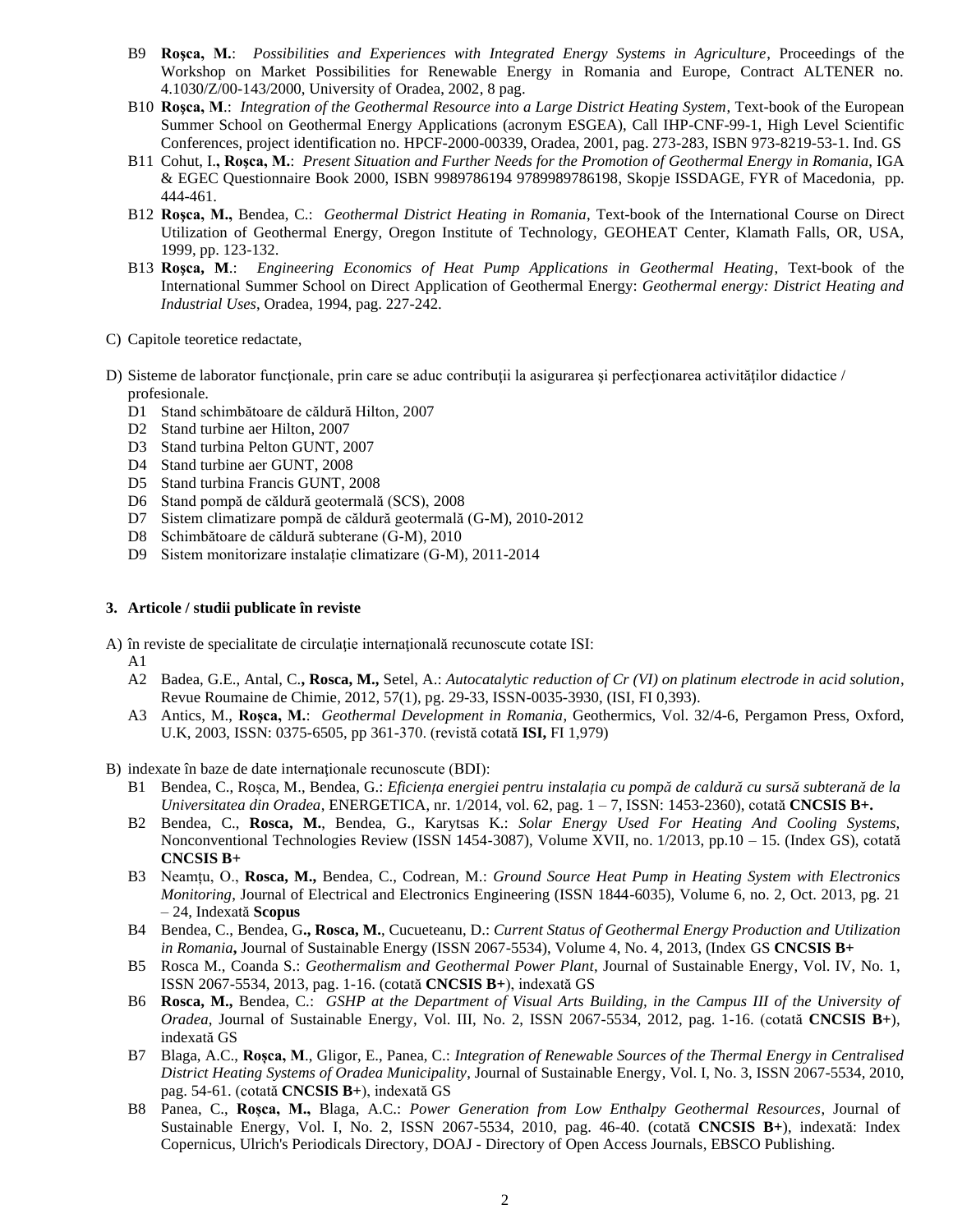- B9 **Roşca, M.**: *Possibilities and Experiences with Integrated Energy Systems in Agriculture*, Proceedings of the Workshop on Market Possibilities for Renewable Energy in Romania and Europe, Contract ALTENER no. 4.1030/Z/00-143/2000, University of Oradea, 2002, 8 pag.
- B10 **Roşca, M**.: *Integration of the Geothermal Resource into a Large District Heating System*, Text-book of the European Summer School on Geothermal Energy Applications (acronym ESGEA), Call IHP-CNF-99-1, High Level Scientific Conferences, project identification no. HPCF-2000-00339, Oradea, 2001, pag. 273-283, ISBN 973-8219-53-1. Ind. GS
- B11 Cohut, I.**, Roşca, M.**: *Present Situation and Further Needs for the Promotion of Geothermal Energy in Romania*, IGA & EGEC Questionnaire Book 2000, ISBN 9989786194 9789989786198, Skopje ISSDAGE, FYR of Macedonia, pp. 444-461.
- B12 **Roşca, M.,** Bendea, C.: *Geothermal District Heating in Romania*, Text-book of the International Course on Direct Utilization of Geothermal Energy, Oregon Institute of Technology, GEOHEAT Center, Klamath Falls, OR, USA, 1999, pp. 123-132.
- B13 **Roşca, M**.: *Engineering Economics of Heat Pump Applications in Geothermal Heating*, Text-book of the International Summer School on Direct Application of Geothermal Energy: *Geothermal energy: District Heating and Industrial Uses*, Oradea, 1994, pag. 227-242.
- C) Capitole teoretice redactate,
- D) Sisteme de laborator funcționale, prin care se aduc contribuții la asigurarea și perfecționarea activităților didactice / profesionale.
	- D1 Stand schimbătoare de căldură Hilton, 2007
	- D2 Stand turbine aer Hilton, 2007
	- D3 Stand turbina Pelton GUNT, 2007
	- D4 Stand turbine aer GUNT, 2008
	- D5 Stand turbina Francis GUNT, 2008
	- D6 Stand pompă de căldură geotermală (SCS), 2008
	- D7 Sistem climatizare pompă de căldură geotermală (G-M), 2010-2012
	- D8 Schimbătoare de căldură subterane (G-M), 2010
	- D9 Sistem monitorizare instalație climatizare (G-M), 2011-2014

### **3. Articole / studii publicate în reviste**

A) în reviste de specialitate de circulaţie internaţională recunoscute cotate ISI:

- A1
- A2 Badea, G.E., Antal, C.**, Rosca, M.,** Setel, A.: *Autocatalytic reduction of Cr (VI) on platinum electrode in acid solution*, Revue Roumaine de Chimie, 2012, 57(1), pg. 29-33, ISSN-0035-3930, (ISI, FI 0,393).
- <span id="page-1-1"></span>A3 Antics, M., **Roşca, M.**: *Geothermal Development in Romania*, Geothermics, Vol. 32/4-6, Pergamon Press, Oxford, U.K, 2003, ISSN: 0375-6505, pp 361-370. (revistă cotată **ISI,** FI 1,979)
- <span id="page-1-0"></span>B) indexate în baze de date internaţionale recunoscute (BDI):
	- B1 Bendea, C., Roșca, M., Bendea, G.: *Eficiența energiei pentru instalația cu pompă de caldură cu sursă subterană de la Universitatea din Oradea*, ENERGETICA, nr. 1/2014, vol. 62, pag. 1 – 7, ISSN: 1453-2360), cotată **CNCSIS B+.**
	- B2 Bendea, C., **Rosca, M.**, Bendea, G., Karytsas K.: *Solar Energy Used For Heating And Cooling Systems,* Nonconventional Technologies Review (ISSN 1454-3087), Volume XVII, no. 1/2013, pp.10 – 15. (Index GS), cotată **CNCSIS B+**
	- B3 Neamțu, O., **Rosca, M.,** Bendea, C., Codrean, M.: *Ground Source Heat Pump in Heating System with Electronics Monitoring*, Journal of Electrical and Electronics Engineering (ISSN 1844-6035), Volume 6, no. 2, Oct. 2013, pg. 21 – 24, Indexată **Scopus**
	- B4 Bendea, C., Bendea, G**., Rosca, M.**, Cucueteanu, D.: *Current Status of Geothermal Energy Production and Utilization in Romania***,** Journal of Sustainable Energy (ISSN 2067-5534), Volume 4, No. 4, 2013, (Index GS **CNCSIS B+**
	- B5 Rosca M., Coanda S.: *Geothermalism and Geothermal Power Plant*, Journal of Sustainable Energy, Vol. IV, No. 1, ISSN 2067-5534, 2013, pag. 1-16. (cotată **CNCSIS B+**), indexată GS
	- B6 **Rosca, M.,** Bendea, C.: *GSHP at the Department of Visual Arts Building, in the Campus III of the University of Oradea*, Journal of Sustainable Energy, Vol. III, No. 2, ISSN 2067-5534, 2012, pag. 1-16. (cotată **CNCSIS B+**), indexată GS
	- B7 Blaga, A.C., **Roșca, M**., Gligor, E., Panea, C.: *Integration of Renewable Sources of the Thermal Energy in Centralised District Heating Systems of Oradea Municipality*, Journal of Sustainable Energy, Vol. I, No. 3, ISSN 2067-5534, 2010, pag. 54-61. (cotată **CNCSIS B+**), indexată GS
	- B8 Panea, C., **Roșca, M.,** Blaga, A.C.: *Power Generation from Low Enthalpy Geothermal Resources*, Journal of Sustainable Energy, Vol. I, No. 2, ISSN 2067-5534, 2010, pag. 46-40. (cotată **CNCSIS B+**), indexată: Index Copernicus, Ulrich's Periodicals Directory, DOAJ - Directory of Open Access Journals, EBSCO Publishing.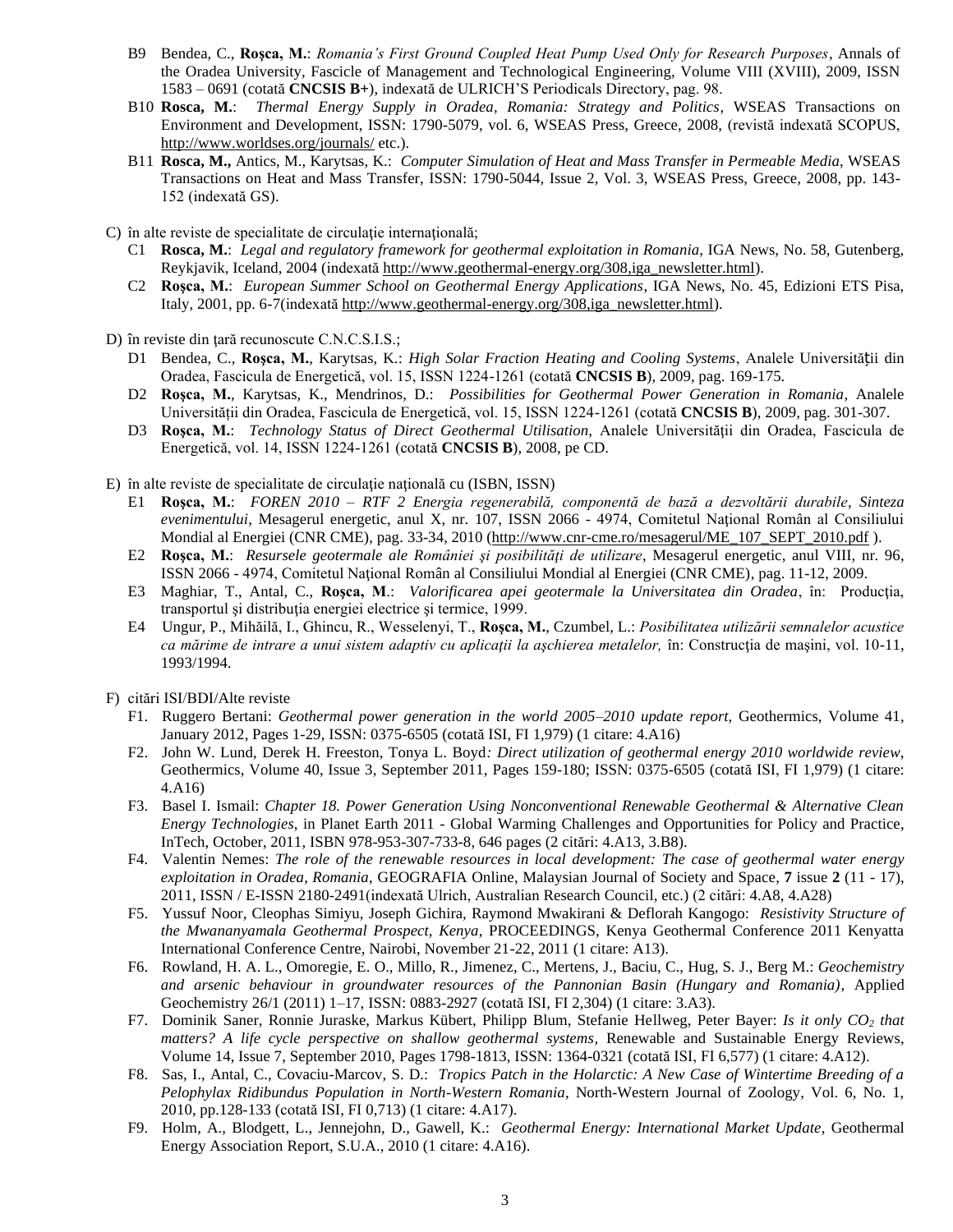- B9 Bendea, C., **Roşca, M.**: *Romania's First Ground Coupled Heat Pump Used Only for Research Purposes*, Annals of the Oradea University, Fascicle of Management and Technological Engineering, Volume VIII (XVIII), 2009, ISSN 1583 – 0691 (cotată **CNCSIS B+**), indexată de ULRICH'S Periodicals Directory, pag. 98.
- B10 **Rosca, M.**: *Thermal Energy Supply in Oradea, Romania: Strategy and Politics*, WSEAS Transactions on Environment and Development, ISSN: 1790-5079, vol. 6, WSEAS Press, Greece, 2008, (revistă indexată SCOPUS, <http://www.worldses.org/journals/> etc.).
- B11 **Rosca, M.,** Antics, M., Karytsas, K.: *Computer Simulation of Heat and Mass Transfer in Permeable Media*, WSEAS Transactions on Heat and Mass Transfer, ISSN: 1790-5044, Issue 2, Vol. 3, WSEAS Press, Greece, 2008, pp. 143- 152 (indexată GS).

C) în alte reviste de specialitate de circulaţie internaţională;

- C1 **Rosca, M.**: *Legal and regulatory framework for geothermal exploitation in Romania*, IGA News, No. 58, Gutenberg, Reykjavik, Iceland, 2004 (indexată [http://www.geothermal-energy.org/308,iga\\_newsletter.html\)](http://www.geothermal-energy.org/308,iga_newsletter.html).
- C2 **Roşca, M.**: *European Summer School on Geothermal Energy Applications*, IGA News, No. 45, Edizioni ETS Pisa, Italy, 2001, pp. 6-7(indexată http://www.geothermal-energy.org/308,jga\_newsletter.html).

D) în reviste din țară recunoscute C.N.C.S.I.S.;

- D1 Bendea, C., **Roşca, M.**, Karytsas, K.: *High Solar Fraction Heating and Cooling Systems*, Analele Universității din Oradea, Fascicula de Energetică, vol. 15, ISSN 1224-1261 (cotată **CNCSIS B**), 2009, pag. 169-175.
- D2 **Roşca, M.**, Karytsas, K., Mendrinos, D.: *Possibilities for Geothermal Power Generation in Romania*, Analele Universității din Oradea, Fascicula de Energetică, vol. 15, ISSN 1224-1261 (cotată **CNCSIS B**), 2009, pag. 301-307.
- D3 **Roşca, M.**: *Technology Status of Direct Geothermal Utilisation*, Analele Universităţii din Oradea, Fascicula de Energetică, vol. 14, ISSN 1224-1261 (cotată **CNCSIS B**), 2008, pe CD.

E) în alte reviste de specialitate de circulaţie naţională cu (ISBN, ISSN)

- E1 **Roşca, M.**: *FOREN 2010 – RTF 2 Energia regenerabilă, componentă de bază a dezvoltării durabile, Sinteza evenimentului*, Mesagerul energetic, anul X, nr. 107, ISSN 2066 - 4974, Comitetul Naţional Român al Consiliului Mondial al Energiei (CNR CME), pag. 33-34, 2010 [\(http://www.cnr-cme.ro/mesagerul/ME\\_107\\_SEPT\\_2010.pdf](http://www.cnr-cme.ro/mesagerul/ME_107_SEPT_2010.pdf) ).
- E2 **Roşca, M.**: *Resursele geotermale ale României şi posibilităţi de utilizare*, Mesagerul energetic, anul VIII, nr. 96, ISSN 2066 - 4974, Comitetul Naţional Român al Consiliului Mondial al Energiei (CNR CME), pag. 11-12, 2009.
- E3 Maghiar, T., Antal, C., **Roşca, M**.: *Valorificarea apei geotermale la Universitatea din Oradea*, în: Producţia, transportul şi distribuţia energiei electrice şi termice, 1999.
- E4 Ungur, P., Mihăilă, I., Ghincu, R., Wesselenyi, T., **Roşca, M.**, Czumbel, L.: *Posibilitatea utilizării semnalelor acustice ca mărime de intrare a unui sistem adaptiv cu aplicaţii la aşchierea metalelor,* în: Construcţia de maşini, vol. 10-11, 1993/1994.
- F) citări ISI/BDI/Alte reviste
	- F1. Ruggero Bertani: *[Geothermal power generation in the world 2005–2010 update report](http://www.sciencedirect.com/science/article/pii/S0375650511000526)*, Geothermics, Volume 41, January 2012, Pages 1-29, ISSN: 0375-6505 (cotată ISI, FI 1,979) (1 citare: [4.A16\)](#page-4-0)
	- F2. John W. Lund, Derek H. Freeston, Tonya L. Boyd*: [Direct utilization of geothermal energy 2010 worldwide review](http://www.sciencedirect.com/science/article/pii/S0375650511000344)*, Geothermics, Volume 40, Issue 3, September 2011, Pages 159-180; ISSN: 0375-6505 (cotată ISI, FI 1,979) (1 citare: 4[.A16\)](#page-4-0)
	- F3. Basel I. Ismail: *Chapter 18. Power Generation Using Nonconventional Renewable Geothermal & Alternative Clean Energy Technologies*, in Planet Earth 2011 - Global Warming Challenges and Opportunities for Policy and Practice, InTech, October, 2011, ISBN 978-953-307-733-8, 646 pages (2 citări: [4.A13,](#page-4-1) 3[.B8\)](#page-1-0).
	- F4. Valentin Nemes: *The role of the renewable resources in local development: The case of geothermal water energy exploitation in Oradea, Romania*, GEOGRAFIA Online, Malaysian Journal of Society and Space, **7** issue **2** (11 - 17), 2011, ISSN / E-ISSN 2180-2491(indexată Ulrich, Australian Research Council, etc.) (2 citări: 4[.A8,](#page-0-0) 4[.A28\)](#page-5-0)
	- F5. Yussuf Noor, Cleophas Simiyu, Joseph Gichira, Raymond Mwakirani & Deflorah Kangogo: *Resistivity Structure of the Mwananyamala Geothermal Prospect, Kenya*, PROCEEDINGS, Kenya Geothermal Conference 2011 Kenyatta International Conference Centre, Nairobi, November 21-22, 2011 (1 citare[: A13\)](#page-4-1).
	- F6. Rowland, H. A. L., Omoregie, E. O., Millo, R., Jimenez, C., Mertens, J., Baciu, C., Hug, S. J., Berg M.: *Geochemistry and arsenic behaviour in groundwater resources of the Pannonian Basin (Hungary and Romania)*, Applied Geochemistry 26/1 (2011) 1–17, ISSN: 0883-2927 (cotată ISI, FI 2,304) (1 citare: 3[.A3\)](#page-1-1).
	- F7. Dominik Saner, Ronnie Juraske, Markus Kübert, Philipp Blum, Stefanie Hellweg, Peter Bayer: *[Is it only CO](http://www.sciencedirect.com/science/article/pii/S1364032110001061)<sup>2</sup> that [matters? A life cycle perspective on shallow geothermal systems,](http://www.sciencedirect.com/science/article/pii/S1364032110001061)* Renewable and Sustainable Energy Reviews, Volume 14, Issue 7, September 2010, Pages 1798-1813, ISSN: 1364-0321 (cotată ISI, FI 6,577) (1 citare: 4[.A12\)](#page-4-2).
	- F8. Sas, I., Antal, C., Covaciu-Marcov, S. D.: *Tropics Patch in the Holarctic: A New Case of Wintertime Breeding of a Pelophylax Ridibundus Population in North-Western Romania*, North-Western Journal of Zoology, Vol. 6, No. 1, 2010, pp.128-133 (cotată ISI, FI 0,713) (1 citare: 4[.A17\)](#page-4-3).
	- F9. Holm, A., Blodgett, L., Jennejohn, D., Gawell, K.: *Geothermal Energy: International Market Update*, Geothermal Energy Association Report, S.U.A., 2010 (1 citare: [4.A16\)](#page-4-0).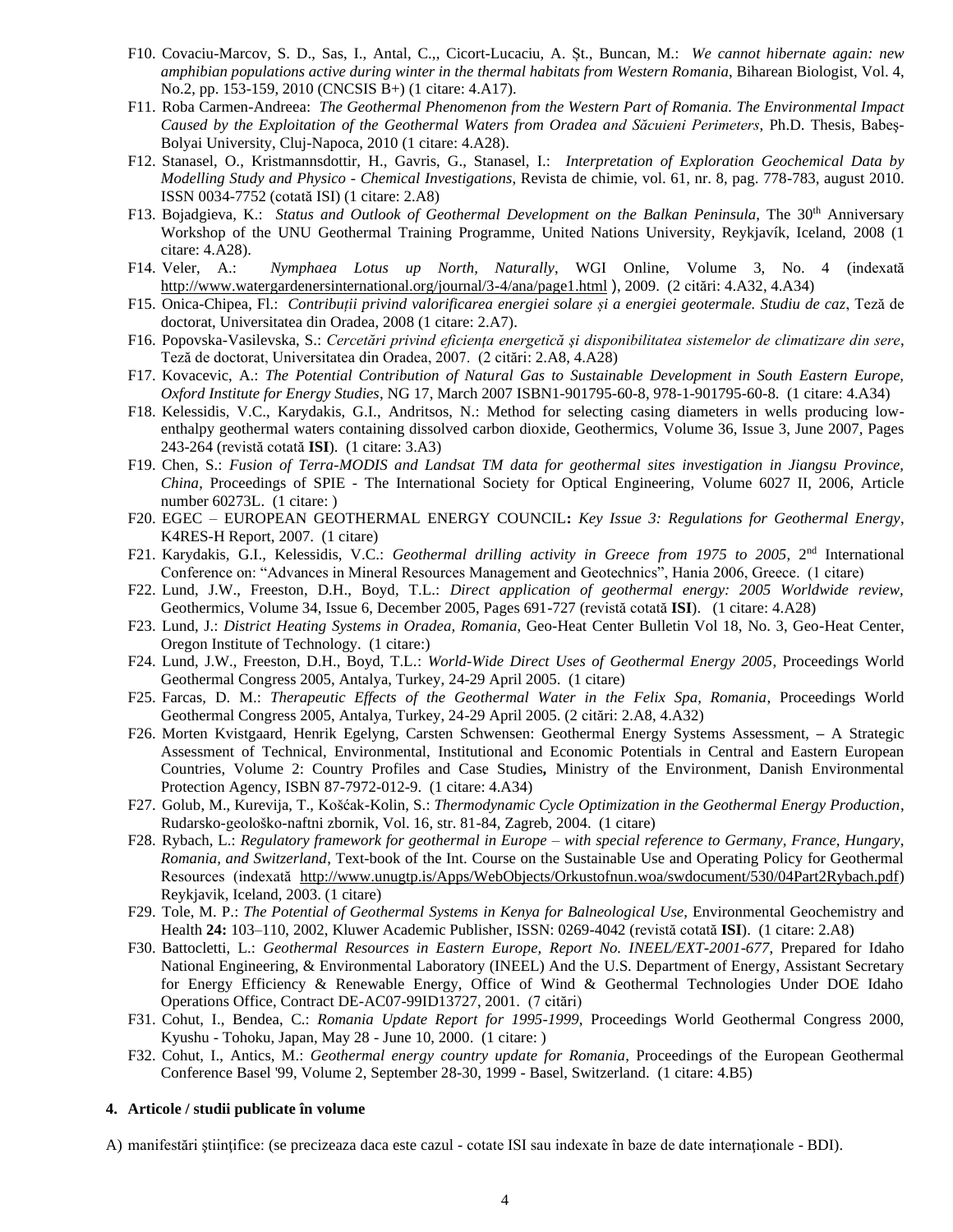- F10. Covaciu-Marcov, S. D., Sas, I., Antal, C.,, Cicort-Lucaciu, A. Șt., Buncan, M.: *We cannot hibernate again: new amphibian populations active during winter in the thermal habitats from Western Romania*, Biharean Biologist, Vol. 4, No.2, pp. 153-159, 2010 (CNCSIS B+) (1 citare: 4[.A17\)](#page-4-3).
- F11. Roba Carmen-Andreea: *The Geothermal Phenomenon from the Western Part of Romania. The Environmental Impact Caused by the Exploitation of the Geothermal Waters from Oradea and Săcuieni Perimeters*, Ph.D. Thesis, Babeş-Bolyai University, Cluj-Napoca, 2010 (1 citare: 4[.A28\)](#page-5-0).
- F12. Stanasel, O., Kristmannsdottir, H., Gavris, G., Stanasel, I.: *Interpretation of Exploration Geochemical Data by Modelling Study and Physico - Chemical Investigations*, Revista de chimie, vol. 61, nr. 8, pag. 778-783, august 2010. ISSN 0034-7752 (cotată ISI) (1 citare: 2[.A8\)](#page-0-0)
- F13. Bojadgieva, K.: *Status and Outlook of Geothermal Development on the Balkan Peninsula*, The 30<sup>th</sup> Anniversary Workshop of the UNU Geothermal Training Programme, United Nations University, Reykjavík, Iceland, 2008 (1 citare: 4[.A28\)](#page-5-0).
- F14. Veler, A.: *Nymphaea Lotus up North, Naturally*, WGI Online, Volume 3, No. 4 (indexată <http://www.watergardenersinternational.org/journal/3-4/ana/page1.html> ), 2009. (2 citări: 4[.A32,](#page-5-1) 4[.A34\)](#page-5-2)
- F15. Onica-Chipea, Fl.: *Contribuții privind valorificarea energiei solare și a energiei geotermale. Studiu de caz*, Teză de doctorat, Universitatea din Oradea, 2008 (1 citare: [2.A7\)](#page-0-1).
- F16. Popovska-Vasilevska, S.: *Cercetări privind eficienţa energetică şi disponibilitatea sistemelor de climatizare din sere*, Teză de doctorat, Universitatea din Oradea, 2007. (2 citări: [2.A8,](#page-0-0) [4.A28\)](#page-5-0)
- F17. Kovacevic, A.: *The Potential Contribution of Natural Gas to Sustainable Development in South Eastern Europe, Oxford Institute for Energy Studies*, NG 17, March 2007 ISBN1-901795-60-8, 978-1-901795-60-8. (1 citare: [4.A34\)](#page-5-2)
- F18. [Kelessidis, V.C.,](http://www.scopus.com/scopus/search/submit/author.url?author=Kelessidis%2c+V.C.&authorId=12790595000&origin=recordpage) [Karydakis, G.I.,](http://www.scopus.com/scopus/search/submit/author.url?author=Karydakis%2c+G.I.&authorId=16309627800&origin=recordpage) [Andritsos, N.:](http://www.scopus.com/scopus/search/submit/author.url?author=Andritsos%2c+N.&authorId=16308767200&origin=recordpage) Method for selecting casing diameters in wells producing lowenthalpy geothermal waters containing dissolved carbon dioxide, Geothermics, Volume 36, Issue 3, June 2007, Pages 243-264 (revistă cotată **ISI**). (1 citare: 3[.A3\)](#page-1-1)
- F19. Chen, S.: *Fusion of Terra-MODIS and Landsat TM data for geothermal sites investigation in Jiangsu Province, China*, Proceedings of SPIE - The International Society for Optical Engineering, Volume 6027 II, 2006, Article number 60273L. (1 citare: )
- F20. EGEC EUROPEAN GEOTHERMAL ENERGY COUNCIL**:** *Key Issue 3: Regulations for Geothermal Energy*, K4RES-H Report, 2007. (1 citare)
- F21. Karydakis, G.I., Kelessidis, V.C.: *Geothermal drilling activity in Greece from 1975 to 2005*, 2<sup>nd</sup> International Conference on: "Advances in Mineral Resources Management and Geotechnics", Hania 2006, Greece. (1 citare)
- F22. Lund, J.W., Freeston, D.H., Boyd, T.L.: *Direct application of geothermal energy: 2005 Worldwide review,* Geothermics, Volume 34, Issue 6, December 2005, Pages 691-727 (revistă cotată **ISI**). (1 citare: 4[.A28\)](#page-5-0)
- F23. Lund, J.: *District Heating Systems in Oradea, Romania*, Geo-Heat Center Bulletin Vol 18, No. 3, Geo-Heat Center, Oregon Institute of Technology. (1 citare:)
- F24. Lund, J.W., Freeston, D.H., Boyd, T.L.: *World-Wide Direct Uses of Geothermal Energy 2005*, Proceedings World Geothermal Congress 2005, Antalya, Turkey, 24-29 April 2005. (1 citare)
- F25. Farcas, D. M.: *Therapeutic Effects of the Geothermal Water in the Felix Spa, Romania*, Proceedings World Geothermal Congress 2005, Antalya, Turkey, 24-29 April 2005. (2 citări: 2[.A8,](#page-0-0) 4[.A32\)](#page-5-1)
- F26. Morten Kvistgaard, Henrik Egelyng, Carsten Schwensen: Geothermal Energy Systems Assessment, *–* A Strategic Assessment of Technical, Environmental, Institutional and Economic Potentials in Central and Eastern European Countries, Volume 2: Country Profiles and Case Studies*,* Ministry of the Environment, Danish Environmental Protection Agency, ISBN 87-7972-012-9. (1 citare: 4[.A34\)](#page-5-2)
- F27. Golub, M., Kurevija, T., Košćak-Kolin, S.: *Thermodynamic Cycle Optimization in the Geothermal Energy Production*, Rudarsko-geološko-naftni zbornik, Vol. 16, str. 81-84, Zagreb, 2004. (1 citare)
- F28. Rybach, L.: *Regulatory framework for geothermal in Europe – with special reference to Germany, France, Hungary, Romania, and Switzerland*, Text-book of the Int. Course on the Sustainable Use and Operating Policy for Geothermal Resources (indexată [http://www.unugtp.is/Apps/WebObjects/Orkustofnun.woa/swdocument/530/04Part2Rybach.pdf\)](http://www.unugtp.is/Apps/WebObjects/Orkustofnun.woa/swdocument/530/04Part2Rybach.pdf) Reykjavik, Iceland, 2003. (1 citare)
- F29. Tole, M. P.: *The Potential of Geothermal Systems in Kenya for Balneological Use*, Environmental Geochemistry and Health **24:** 103–110, 2002, Kluwer Academic Publisher, ISSN: 0269-4042 (revistă cotată **ISI**). (1 citare: [2.A8\)](#page-0-0)
- F30. Battocletti, L.: *Geothermal Resources in Eastern Europe, Report No. INEEL/EXT-2001-677*, Prepared for Idaho National Engineering, & Environmental Laboratory (INEEL) And the U.S. Department of Energy, Assistant Secretary for Energy Efficiency & Renewable Energy, Office of Wind & Geothermal Technologies Under DOE Idaho Operations Office, Contract DE-AC07-99ID13727, 2001. (7 citări)
- F31. Cohut, I., Bendea, C.: *Romania Update Report for 1995-1999*, Proceedings World Geothermal Congress 2000, Kyushu - Tohoku, Japan, May 28 - June 10, 2000. (1 citare: )
- F32. Cohut, I., Antics, M.: *Geothermal energy country update for Romania*, Proceedings of the European Geothermal Conference Basel '99, Volume 2, September 28-30, 1999 - Basel, Switzerland. (1 citare: [4.B5\)](#page-5-3)

#### **4. Articole / studii publicate în volume**

A) manifestări ştiinţifice: (se precizeaza daca este cazul - cotate ISI sau indexate în baze de date internaţionale - BDI).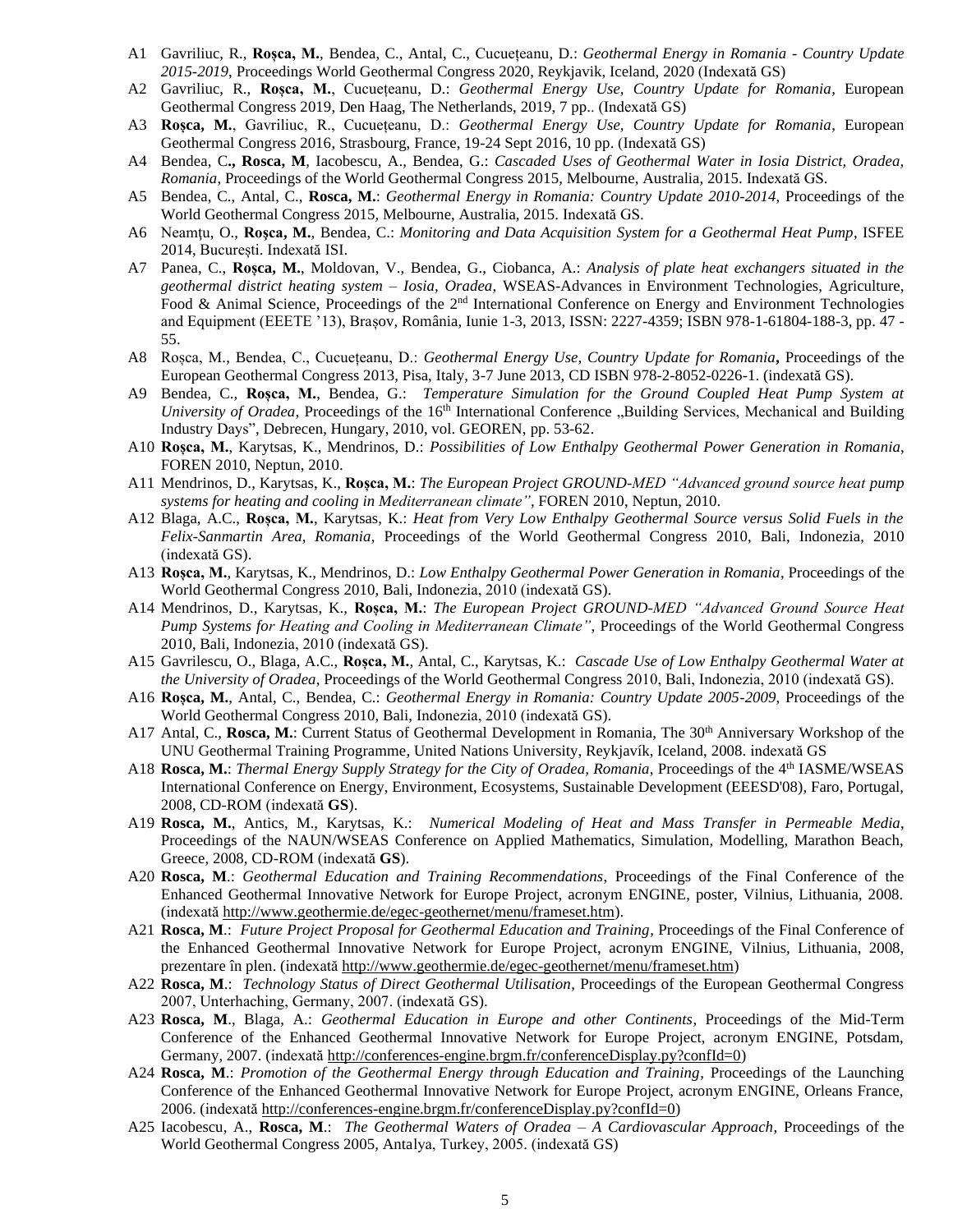- A1 Gavriliuc, R., **Roșca, M.**, Bendea, C., Antal, C., Cucuețeanu, D.: *Geothermal Energy in Romania - Country Update 2015-2019*, Proceedings World Geothermal Congress 2020, Reykjavik, Iceland, 2020 (Indexată GS)
- A2 Gavriliuc, R., **Roșca, M.**, Cucuețeanu, D.: *Geothermal Energy Use, Country Update for Romania*, European Geothermal Congress 2019, Den Haag, The Netherlands, 2019, 7 pp.. (Indexată GS)
- A3 **Roșca, M.**, Gavriliuc, R., Cucuețeanu, D.: *Geothermal Energy Use, Country Update for Romania*, European Geothermal Congress 2016, Strasbourg, France, 19-24 Sept 2016, 10 pp. (Indexată GS)
- A4 Bendea, C**., Rosca, M**, Iacobescu, A., Bendea, G.: *Cascaded Uses of Geothermal Water in Iosia District, Oradea, Romania*, Proceedings of the World Geothermal Congress 2015, Melbourne, Australia, 2015. Indexată GS.
- A5 Bendea, C., Antal, C., **Rosca, M.**: *Geothermal Energy in Romania: Country Update 2010-2014*, Proceedings of the World Geothermal Congress 2015, Melbourne, Australia, 2015. Indexată GS.
- A6 Neamţu, O., **Roşca, M.**, Bendea, C.: *Monitoring and Data Acquisition System for a Geothermal Heat Pump*, ISFEE 2014, București. Indexată ISI.
- A7 Panea, C., **Roșca, M.**, Moldovan, V., Bendea, G., Ciobanca, A.: *Analysis of plate heat exchangers situated in the geothermal district heating system – Iosia, Oradea*, WSEAS-Advances in Environment Technologies, Agriculture, Food & Animal Science, Proceedings of the  $2<sup>nd</sup>$  International Conference on Energy and Environment Technologies and Equipment (EEETE '13), Brașov, România, Iunie 1-3, 2013, ISSN: 2227-4359; ISBN 978-1-61804-188-3, pp. 47 - 55.
- A8 Roșca, M., Bendea, C., Cucuețeanu, D.: *Geothermal Energy Use, Country Update for Romania***,** Proceedings of the European Geothermal Congress 2013, Pisa, Italy, 3-7 June 2013, CD ISBN 978-2-8052-0226-1. (indexată GS).
- A9 Bendea, C., **Roșca, M.**, Bendea, G.: *Temperature Simulation for the Ground Coupled Heat Pump System at University of Oradea*, Proceedings of the 16<sup>th</sup> International Conference "Building Services, Mechanical and Building Industry Days", Debrecen, Hungary, 2010, vol. GEOREN, pp. 53-62.
- A10 **Roșca, M.**, Karytsas, K., Mendrinos, D.: *Possibilities of Low Enthalpy Geothermal Power Generation in Romania*, FOREN 2010, Neptun, 2010.
- A11 Mendrinos, D., Karytsas, K., **Roșca, M.**: *The European Project GROUND-MED "Advanced ground source heat pump systems for heating and cooling in Mediterranean climate"*, FOREN 2010, Neptun, 2010.
- <span id="page-4-2"></span>A12 Blaga, A.C., **Roșca, M.**, Karytsas, K.: *Heat from Very Low Enthalpy Geothermal Source versus Solid Fuels in the Felix-Sanmartin Area, Romania*, Proceedings of the World Geothermal Congress 2010, Bali, Indonezia, 2010 (indexată GS).
- <span id="page-4-1"></span>A13 **Roșca, M.**, Karytsas, K., Mendrinos, D.: *Low Enthalpy Geothermal Power Generation in Romania*, Proceedings of the World Geothermal Congress 2010, Bali, Indonezia, 2010 (indexată GS).
- A14 Mendrinos, D., Karytsas, K., **Roșca, M.**: *The European Project GROUND-MED "Advanced Ground Source Heat Pump Systems for Heating and Cooling in Mediterranean Climate"*, Proceedings of the World Geothermal Congress 2010, Bali, Indonezia, 2010 (indexată GS).
- A15 Gavrilescu, O., Blaga, A.C., **Roșca, M.**, Antal, C., Karytsas, K.: *Cascade Use of Low Enthalpy Geothermal Water at the University of Oradea*, Proceedings of the World Geothermal Congress 2010, Bali, Indonezia, 2010 (indexată GS).
- <span id="page-4-0"></span>A16 **Roșca, M.**, Antal, C., Bendea, C.: *Geothermal Energy in Romania: Country Update 2005-2009*, Proceedings of the World Geothermal Congress 2010, Bali, Indonezia, 2010 (indexată [GS\)](http://www.geothermal-energy.org/publications_and_services/conference_paper_database.html).
- <span id="page-4-3"></span>A17 Antal, C., Rosca, M.: Current Status of Geothermal Development in Romania, The 30<sup>th</sup> Anniversary Workshop of the UNU Geothermal Training Programme, United Nations University, Reykjavík, Iceland, 2008. indexat[ă GS](http://www.geothermal-energy.org/publications_and_services/conference_paper_database.html)
- A18 **Rosca, M.**: *Thermal Energy Supply Strategy for the City of Oradea, Romania*, Proceedings of the 4th IASME/WSEAS International Conference on Energy, Environment, Ecosystems, Sustainable Development (EEESD'08), Faro, Portugal, 2008, CD-ROM (indexată **GS**).
- A19 **Rosca, M.**, Antics, M., Karytsas, K.: *Numerical Modeling of Heat and Mass Transfer in Permeable Media*, Proceedings of the NAUN/WSEAS Conference on Applied Mathematics, Simulation, Modelling, Marathon Beach, Greece, 2008, CD-ROM (indexată **GS**).
- A20 **Rosca, M**.: *Geothermal Education and Training Recommendations*, Proceedings of the Final Conference of the Enhanced Geothermal Innovative Network for Europe Project, acronym ENGINE, poster, Vilnius, Lithuania, 2008. (indexată [http://www.geothermie.de/egec-geothernet/menu/frameset.htm\)](http://www.geothermie.de/egec-geothernet/menu/frameset.htm).
- A21 **Rosca, M**.: *Future Project Proposal for Geothermal Education and Training*, Proceedings of the Final Conference of the Enhanced Geothermal Innovative Network for Europe Project, acronym ENGINE, Vilnius, Lithuania, 2008, prezentare în plen. (indexată [http://www.geothermie.de/egec-geothernet/menu/frameset.htm\)](http://www.geothermie.de/egec-geothernet/menu/frameset.htm)
- A22 **Rosca, M**.: *Technology Status of Direct Geothermal Utilisation*, Proceedings of the European Geothermal Congress 2007, Unterhaching, Germany, 2007. (indexată GS).
- A23 **Rosca, M**., Blaga, A.: *Geothermal Education in Europe and other Continents*, Proceedings of the Mid-Term Conference of the Enhanced Geothermal Innovative Network for Europe Project, acronym ENGINE, Potsdam, Germany, 2007. (indexată [http://conferences-engine.brgm.fr/conferenceDisplay.py?confId=0\)](http://conferences-engine.brgm.fr/conferenceDisplay.py?confId=0)
- A24 **Rosca, M**.: *Promotion of the Geothermal Energy through Education and Training*, Proceedings of the Launching Conference of the Enhanced Geothermal Innovative Network for Europe Project, acronym ENGINE, Orleans France, 2006. (indexată [http://conferences-engine.brgm.fr/conferenceDisplay.py?confId=0\)](http://conferences-engine.brgm.fr/conferenceDisplay.py?confId=0)
- A25 Iacobescu, A., **Rosca, M**.: *The Geothermal Waters of Oradea – A Cardiovascular Approach*, Proceedings of the World Geothermal Congress 2005, Antalya, Turkey, 2005. (indexată GS)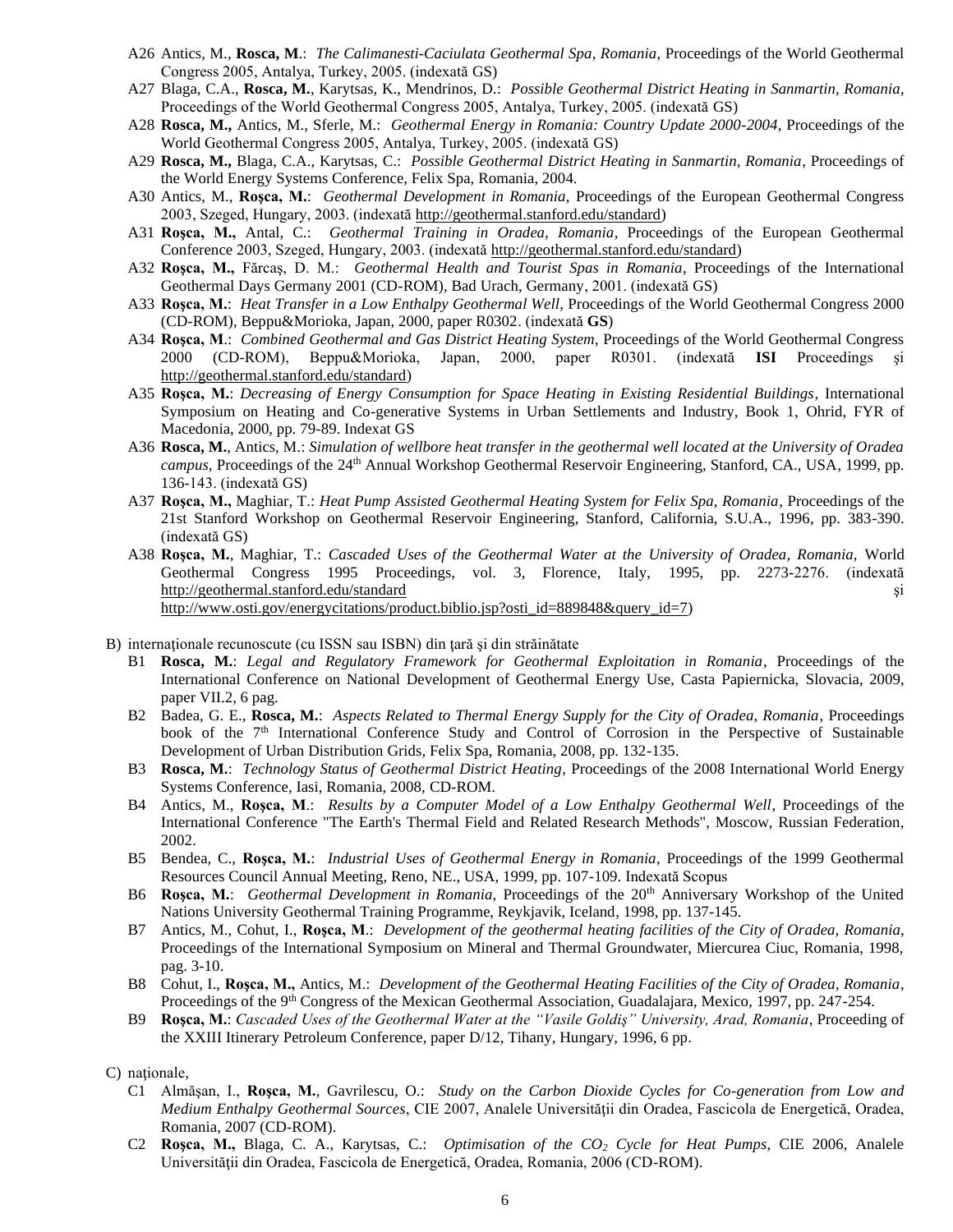- A26 Antics, M., **Rosca, M**.: *The Calimanesti-Caciulata Geothermal Spa, Romania*, Proceedings of the World Geothermal Congress 2005, Antalya, Turkey, 2005. (indexată GS)
- A27 Blaga, C.A., **Rosca, M.**, Karytsas, K., Mendrinos, D.: *Possible Geothermal District Heating in Sanmartin, Romania*, Proceedings of the World Geothermal Congress 2005, Antalya, Turkey, 2005. (indexată GS)
- <span id="page-5-0"></span>A28 **Rosca, M.,** Antics, M., Sferle, M.: *Geothermal Energy in Romania: Country Update 2000-2004*, Proceedings of the World Geothermal Congress 2005, Antalya, Turkey, 2005. (indexată GS)
- A29 **Rosca, M.,** Blaga, C.A., Karytsas, C.: *Possible Geothermal District Heating in Sanmartin, Romania*, Proceedings of the World Energy Systems Conference, Felix Spa, Romania, 2004.
- A30 Antics, M., **Roşca, M.**: *Geothermal Development in Romania*, Proceedings of the European Geothermal Congress 2003, Szeged, Hungary, 2003. (indexată [http://geothermal.stanford.edu/standard\)](http://geothermal.stanford.edu/standard)
- A31 **Roşca, M.,** Antal, C.: *Geothermal Training in Oradea, Romania*, Proceedings of the European Geothermal Conference 2003, Szeged, Hungary, 2003. (indexată [http://geothermal.stanford.edu/standard\)](http://geothermal.stanford.edu/standard)
- <span id="page-5-1"></span>A32 **Roşca, M.,** Fărcaş, D. M.: *Geothermal Health and Tourist Spas in Romania*, Proceedings of the International Geothermal Days Germany 2001 (CD-ROM), Bad Urach, Germany, 2001. (indexată GS)
- A33 **Roşca, M.**: *Heat Transfer in a Low Enthalpy Geothermal Well*, Proceedings of the World Geothermal Congress 2000 (CD-ROM), Beppu&Morioka, Japan, 2000, paper R0302. (indexată **GS**)
- <span id="page-5-2"></span>A34 **Roşca, M**.: *Combined Geothermal and Gas District Heating System*, Proceedings of the World Geothermal Congress 2000 (CD-ROM), Beppu&Morioka, Japan, 2000, paper R0301. (indexată **ISI** Proceedings şi [http://geothermal.stanford.edu/standard\)](http://geothermal.stanford.edu/standard)
- A35 **Roşca, M.**: *Decreasing of Energy Consumption for Space Heating in Existing Residential Buildings*, International Symposium on Heating and Co-generative Systems in Urban Settlements and Industry, Book 1, Ohrid, FYR of Macedonia, 2000, pp. 79-89. Indexat GS
- A36 **Rosca, M.**, Antics, M.: *Simulation of wellbore heat transfer in the geothermal well located at the University of Oradea campus*, Proceedings of the 24<sup>th</sup> Annual Workshop Geothermal Reservoir Engineering, Stanford, CA., USA, 1999, pp. 136-143. (indexată GS)
- A37 **Roşca, M.,** Maghiar, T.: *Heat Pump Assisted Geothermal Heating System for Felix Spa, Romania*, Proceedings of the 21st Stanford Workshop on Geothermal Reservoir Engineering, Stanford, California, S.U.A., 1996, pp. 383-390. (indexată GS)
- A38 **Roşca, M.**, Maghiar, T.: *Cascaded Uses of the Geothermal Water at the University of Oradea, Romania,* World Geothermal Congress 1995 Proceedings, vol. 3, Florence, Italy, 1995, pp. 2273-2276. (indexată <http://geothermal.stanford.edu/standard> si [http://www.osti.gov/energycitations/product.biblio.jsp?osti\\_id=889848&query\\_id=7\)](http://www.osti.gov/energycitations/product.biblio.jsp?osti_id=889848&query_id=7)
- <span id="page-5-3"></span>B) internaţionale recunoscute (cu ISSN sau ISBN) din ţară şi din străinătate
	- B1 **Rosca, M.**: *Legal and Regulatory Framework for Geothermal Exploitation in Romania*, Proceedings of the International Conference on National Development of Geothermal Energy Use, Casta Papiernicka, Slovacia, 2009, paper VII.2, 6 pag.
	- B2 Badea, G. E., **Rosca, M.**: *Aspects Related to Thermal Energy Supply for the City of Oradea, Romania*, Proceedings book of the 7<sup>th</sup> International Conference Study and Control of Corrosion in the Perspective of Sustainable Development of Urban Distribution Grids, Felix Spa, Romania, 2008, pp. 132-135.
	- B3 **Rosca, M.**: *Technology Status of Geothermal District Heating*, Proceedings of the 2008 International World Energy Systems Conference, Iasi, Romania, 2008, CD-ROM.
	- B4 Antics, M., **Roşca, M**.: *Results by a Computer Model of a Low Enthalpy Geothermal Well*, Proceedings of the International Conference "The Earth's Thermal Field and Related Research Methods", Moscow, Russian Federation, 2002.
	- B5 Bendea, C., **Roşca, M.**: *Industrial Uses of Geothermal Energy in Romania*, Proceedings of the 1999 Geothermal Resources Council Annual Meeting, Reno, NE., USA, 1999, pp. 107-109. Indexată Scopus
	- B6 **Roşca, M.**: *Geothermal Development in Romania*, Proceedings of the 20th Anniversary Workshop of the United Nations University Geothermal Training Programme, Reykjavik, Iceland, 1998, pp. 137-145.
	- B7 Antics, M., Cohut, I., **Roşca, M**.: *Development of the geothermal heating facilities of the City of Oradea, Romania*, Proceedings of the International Symposium on Mineral and Thermal Groundwater, Miercurea Ciuc, Romania, 1998, pag. 3-10.
	- B8 Cohut, I., **Roşca, M.,** Antics, M.: *Development of the Geothermal Heating Facilities of the City of Oradea, Romania*, Proceedings of the 9<sup>th</sup> Congress of the Mexican Geothermal Association, Guadalajara, Mexico, 1997, pp. 247-254.
	- B9 **Roşca, M.**: *Cascaded Uses of the Geothermal Water at the "Vasile Goldiş" University, Arad, Romania*, Proceeding of the XXIII Itinerary Petroleum Conference, paper D/12, Tihany, Hungary, 1996, 6 pp.

C) nationale,

- C1 Almăşan, I., **Roşca, M.**, Gavrilescu, O.: *Study on the Carbon Dioxide Cycles for Co-generation from Low and Medium Enthalpy Geothermal Sources*, CIE 2007, Analele Universităţii din Oradea, Fascicola de Energetică, Oradea, Romania, 2007 (CD-ROM).
- C2 **Roşca, M.,** Blaga, C. A., Karytsas, C.: *Optimisation of the CO<sup>2</sup> Cycle for Heat Pumps*, CIE 2006, Analele Universităţii din Oradea, Fascicola de Energetică, Oradea, Romania, 2006 (CD-ROM).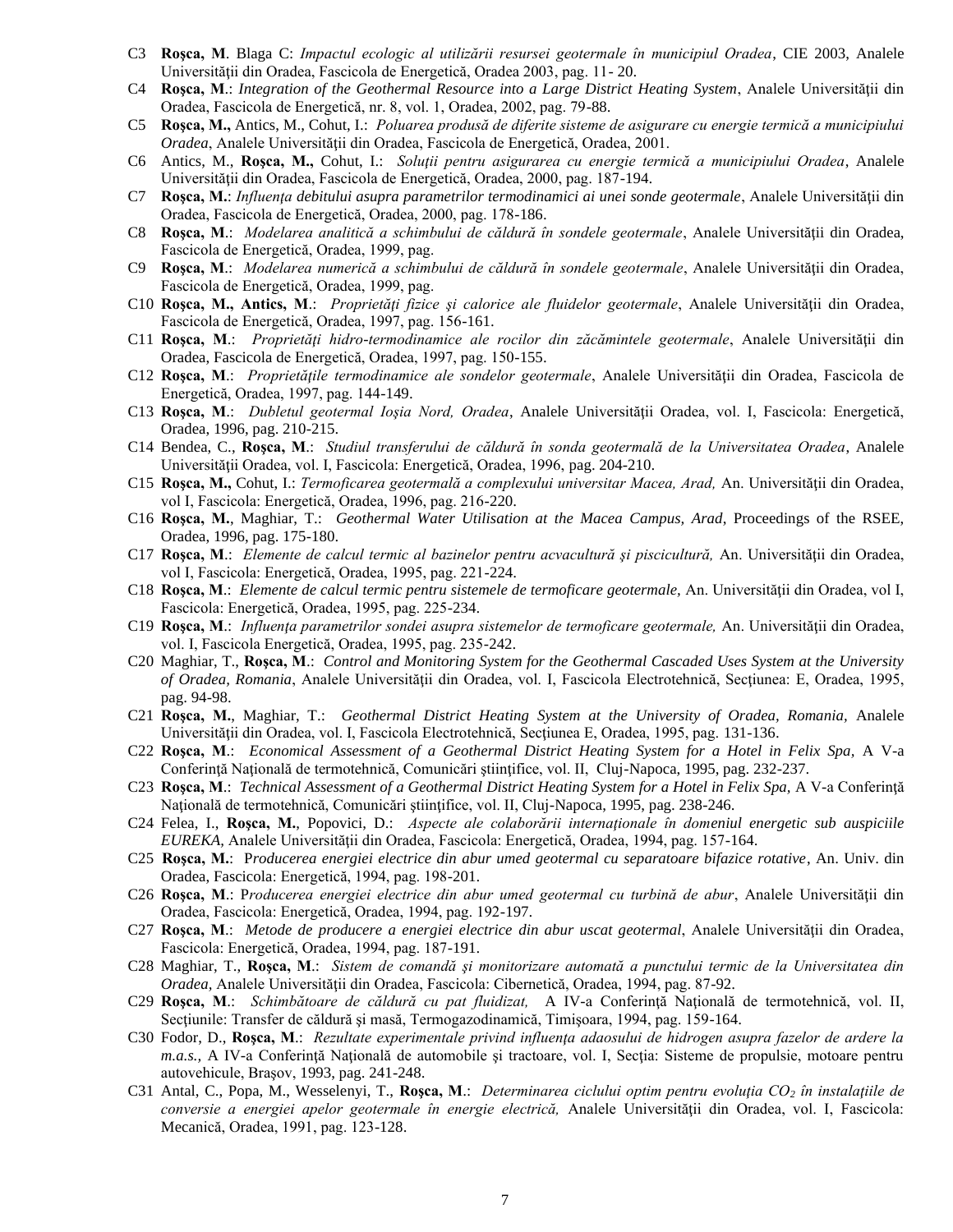- C3 **Roşca, M**. Blaga C: *Impactul ecologic al utilizării resursei geotermale în municipiul Oradea*, CIE 2003, Analele Universităţii din Oradea, Fascicola de Energetică, Oradea 2003, pag. 11- 20.
- C4 **Roşca, M**.: *Integration of the Geothermal Resource into a Large District Heating System*, Analele Universităţii din Oradea, Fascicola de Energetică, nr. 8, vol. 1, Oradea, 2002, pag. 79-88.
- C5 **Roşca, M.,** Antics, M., Cohut, I.: *Poluarea produsă de diferite sisteme de asigurare cu energie termică a municipiului Oradea*, Analele Universităţii din Oradea, Fascicola de Energetică, Oradea, 2001.
- C6 Antics, M., **Roşca, M.,** Cohut, I.: *Soluţii pentru asigurarea cu energie termică a municipiului Oradea*, Analele Universităţii din Oradea, Fascicola de Energetică, Oradea, 2000, pag. 187-194.
- C7 **Roşca, M.**: *Influenţa debitului asupra parametrilor termodinamici ai unei sonde geotermale*, Analele Universităţii din Oradea, Fascicola de Energetică, Oradea, 2000, pag. 178-186.
- C8 **Roşca, M**.: *Modelarea analitică a schimbului de căldură în sondele geotermale*, Analele Universităţii din Oradea, Fascicola de Energetică, Oradea, 1999, pag.
- C9 Roșca, M.: *Modelarea numerică a schimbului de căldură în sondele geotermale*, Analele Universității din Oradea, Fascicola de Energetică, Oradea, 1999, pag.
- C10 **Roşca, M., Antics, M**.: *Proprietăţi fizice şi calorice ale fluidelor geotermale*, Analele Universităţii din Oradea, Fascicola de Energetică, Oradea, 1997, pag. 156-161.
- C11 **Roşca, M**.: *Proprietăţi hidro-termodinamice ale rocilor din zăcămintele geotermale*, Analele Universităţii din Oradea, Fascicola de Energetică, Oradea, 1997, pag. 150-155.
- C12 **Roşca, M**.: *Proprietăţile termodinamice ale sondelor geotermale*, Analele Universităţii din Oradea, Fascicola de Energetică, Oradea, 1997, pag. 144-149.
- C13 **Roşca, M**.: *Dubletul geotermal Ioşia Nord, Oradea*, Analele Universităţii Oradea, vol. I, Fascicola: Energetică, Oradea, 1996, pag. 210-215.
- C14 Bendea, C., **Roşca, M**.: *Studiul transferului de căldură în sonda geotermală de la Universitatea Oradea*, Analele Universităţii Oradea, vol. I, Fascicola: Energetică, Oradea, 1996, pag. 204-210.
- C15 **Roşca, M.,** Cohut, I.: *Termoficarea geotermală a complexului universitar Macea, Arad,* An. Universităţii din Oradea, vol I, Fascicola: Energetică, Oradea, 1996, pag. 216-220.
- C16 **Roşca, M.**, Maghiar, T.: *Geothermal Water Utilisation at the Macea Campus, Arad*, Proceedings of the RSEE, Oradea, 1996, pag. 175-180.
- C17 **Roşca, M**.: *Elemente de calcul termic al bazinelor pentru acvacultură şi piscicultură,* An. Universităţii din Oradea, vol I, Fascicola: Energetică, Oradea, 1995, pag. 221-224.
- C18 **Roşca, M**.: *Elemente de calcul termic pentru sistemele de termoficare geotermale,* An. Universităţii din Oradea, vol I, Fascicola: Energetică, Oradea, 1995, pag. 225-234.
- C19 **Roşca, M**.: *Influenţa parametrilor sondei asupra sistemelor de termoficare geotermale,* An. Universităţii din Oradea, vol. I, Fascicola Energetică, Oradea, 1995, pag. 235-242.
- C20 Maghiar, T., **Roşca, M**.: *Control and Monitoring System for the Geothermal Cascaded Uses System at the University of Oradea, Romania*, Analele Universităţii din Oradea, vol. I, Fascicola Electrotehnică, Secţiunea: E, Oradea, 1995, pag. 94-98.
- C21 **Roşca, M.**, Maghiar, T.: *Geothermal District Heating System at the University of Oradea, Romania,* Analele Universităţii din Oradea, vol. I, Fascicola Electrotehnică, Secţiunea E, Oradea, 1995, pag. 131-136.
- C22 **Roşca, M**.: *Economical Assessment of a Geothermal District Heating System for a Hotel in Felix Spa,* A V-a Conferinţă Naţională de termotehnică, Comunicări ştiinţifice, vol. II, Cluj-Napoca, 1995, pag. 232-237.
- C23 **Roşca, M**.: *Technical Assessment of a Geothermal District Heating System for a Hotel in Felix Spa,* A V-a Conferinţă Naţională de termotehnică, Comunicări ştiinţifice, vol. II, Cluj-Napoca, 1995, pag. 238-246.
- C24 Felea, I., **Roşca, M.**, Popovici, D.: *Aspecte ale colaborării internaţionale în domeniul energetic sub auspiciile EUREKA,* Analele Universităţii din Oradea, Fascicola: Energetică, Oradea, 1994, pag. 157-164.
- C25 **Roşca, M.**: P*roducerea energiei electrice din abur umed geotermal cu separatoare bifazice rotative*, An. Univ. din Oradea, Fascicola: Energetică, 1994, pag. 198-201.
- C26 **Roşca, M**.: P*roducerea energiei electrice din abur umed geotermal cu turbină de abur*, Analele Universităţii din Oradea, Fascicola: Energetică, Oradea, 1994, pag. 192-197.
- C27 **Roşca, M**.: *Metode de producere a energiei electrice din abur uscat geotermal*, Analele Universităţii din Oradea, Fascicola: Energetică, Oradea, 1994, pag. 187-191.
- C28 Maghiar, T., **Roşca, M**.: *Sistem de comandă şi monitorizare automată a punctului termic de la Universitatea din Oradea,* Analele Universităţii din Oradea, Fascicola: Cibernetică, Oradea, 1994, pag. 87-92.
- C29 **Roşca, M**.: *Schimbătoare de căldură cu pat fluidizat,* A IV-a Conferinţă Naţională de termotehnică, vol. II, Secţiunile: Transfer de căldură şi masă, Termogazodinamică, Timişoara, 1994, pag. 159-164.
- C30 Fodor, D., **Roşca, M**.: *Rezultate experimentale privind influenţa adaosului de hidrogen asupra fazelor de ardere la m.a.s.,* A IV-a Conferinţă Naţională de automobile şi tractoare, vol. I, Secţia: Sisteme de propulsie, motoare pentru autovehicule, Braşov, 1993, pag. 241-248.
- C31 Antal, C., Popa, M., Wesselenyi, T., **Roşca, M**.: *Determinarea ciclului optim pentru evoluţia CO<sup>2</sup> în instalaţiile de conversie a energiei apelor geotermale în energie electrică,* Analele Universităţii din Oradea, vol. I, Fascicola: Mecanică, Oradea, 1991, pag. 123-128.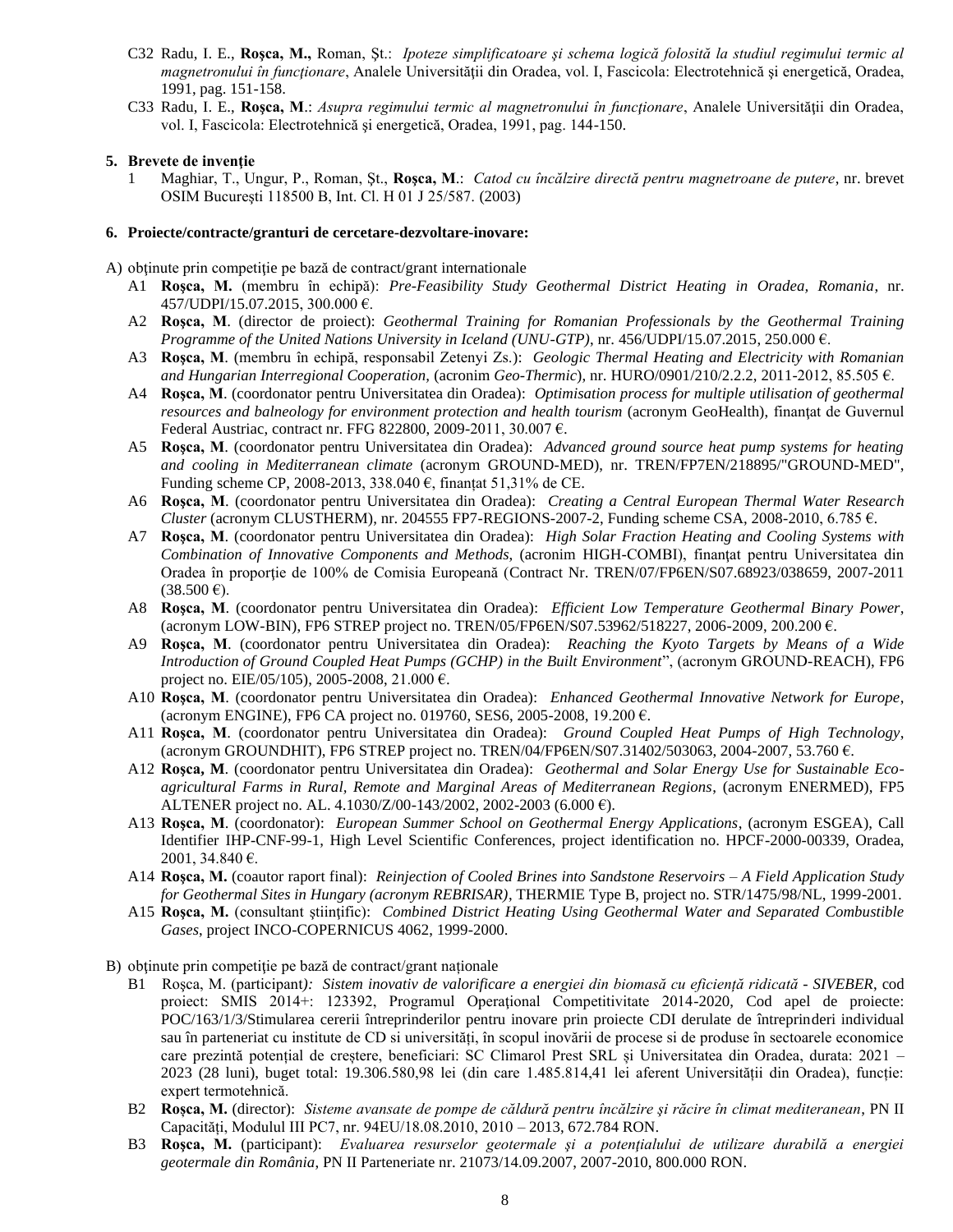- C32 Radu, I. E., **Roşca, M.,** Roman, Şt.: *Ipoteze simplificatoare şi schema logică folosită la studiul regimului termic al magnetronului în funcţionare*, Analele Universităţii din Oradea, vol. I, Fascicola: Electrotehnică şi energetică, Oradea, 1991, pag. 151-158.
- C33 Radu, I. E., Rosca, M.: *Asupra regimului termic al magnetronului în functionare*, Analele Universității din Oradea, vol. I, Fascicola: Electrotehnică şi energetică, Oradea, 1991, pag. 144-150.

## **5. Brevete de invenţie**

1 Maghiar, T., Ungur, P., Roman, Şt., **Roşca, M**.: *Catod cu încălzire directă pentru magnetroane de putere*, nr. brevet OSIM Bucureşti 118500 B, Int. Cl. H 01 J 25/587. (2003)

## **6. Proiecte/contracte/granturi de cercetare-dezvoltare-inovare:**

A) obţinute prin competiţie pe bază de contract/grant internationale

- A1 **Roşca, M.** (membru în echipă): *Pre-Feasibility Study Geothermal District Heating in Oradea, Romania*, nr. 457/UDPI/15.07.2015, 300.000 €.
- A2 **Roşca, M**. (director de proiect): *Geothermal Training for Romanian Professionals by the Geothermal Training Programme of the United Nations University in Iceland (UNU-GTP)*, nr. 456/UDPI/15.07.2015, 250.000 €.
- A3 **Roşca, M**. (membru în echipă, responsabil Zetenyi Zs.): *Geologic Thermal Heating and Electricity with Romanian and Hungarian Interregional Cooperation,* (acronim *Geo-Thermic*), nr. HURO/0901/210/2.2.2, 2011-2012, 85.505 €.
- A4 **Roşca, M**. (coordonator pentru Universitatea din Oradea): *Optimisation process for multiple utilisation of geothermal resources and balneology for environment protection and health tourism* (acronym GeoHealth), finanțat de Guvernul Federal Austriac, contract nr. FFG 822800, 2009-2011, 30.007 €.
- A5 **Roşca, M**. (coordonator pentru Universitatea din Oradea): *Advanced ground source heat pump systems for heating and cooling in Mediterranean climate* (acronym GROUND-MED), nr. TREN/FP7EN/218895/"GROUND-MED", Funding scheme CP, 2008-2013, 338.040 €, finanțat 51,31% de CE.
- A6 **Roşca, M**. (coordonator pentru Universitatea din Oradea): *Creating a Central European Thermal Water Research Cluster* (acronym CLUSTHERM), nr. 204555 FP7-REGIONS-2007-2, Funding scheme CSA, 2008-2010, 6.785 €.
- A7 **Roşca, M**. (coordonator pentru Universitatea din Oradea): *High Solar Fraction Heating and Cooling Systems with Combination of Innovative Components and Methods*, (acronim HIGH-COMBI), finantat pentru Universitatea din Oradea în proporţie de 100% de Comisia Europeană (Contract Nr. TREN/07/FP6EN/S07.68923/038659, 2007-2011  $(38.500 \,\epsilon).$
- A8 **Roşca, M**. (coordonator pentru Universitatea din Oradea): *Efficient Low Temperature Geothermal Binary Power*, (acronym LOW-BIN), FP6 STREP project no. TREN/05/FP6EN/S07.53962/518227, 2006-2009, 200.200 €.
- A9 **Roşca, M**. (coordonator pentru Universitatea din Oradea): *Reaching the Kyoto Targets by Means of a Wide Introduction of Ground Coupled Heat Pumps (GCHP) in the Built Environment*", (acronym GROUND-REACH), FP6 project no. EIE/05/105), 2005-2008, 21.000 €.
- A10 **Roşca, M**. (coordonator pentru Universitatea din Oradea): *Enhanced Geothermal Innovative Network for Europe*, (acronym ENGINE), FP6 CA project no. 019760, SES6, 2005-2008, 19.200 €.
- A11 **Roşca, M**. (coordonator pentru Universitatea din Oradea): *Ground Coupled Heat Pumps of High Technology*, (acronym GROUNDHIT), FP6 STREP project no. TREN/04/FP6EN/S07.31402/503063, 2004-2007, 53.760 €.
- A12 **Roşca, M**. (coordonator pentru Universitatea din Oradea): *Geothermal and Solar Energy Use for Sustainable Ecoagricultural Farms in Rural, Remote and Marginal Areas of Mediterranean Regions*, (acronym ENERMED), FP5 ALTENER project no. AL. 4.1030/Z/00-143/2002, 2002-2003 (6.000 €).
- A13 **Roşca, M**. (coordonator): *European Summer School on Geothermal Energy Applications*, (acronym ESGEA), Call Identifier IHP-CNF-99-1, High Level Scientific Conferences, project identification no. HPCF-2000-00339, Oradea, 2001, 34.840 €.
- A14 **Roşca, M.** (coautor raport final): *Reinjection of Cooled Brines into Sandstone Reservoirs – A Field Application Study for Geothermal Sites in Hungary (acronym REBRISAR)*, THERMIE Type B, project no. STR/1475/98/NL, 1999-2001.
- A15 **Roşca, M.** (consultant ştiinţific): *Combined District Heating Using Geothermal Water and Separated Combustible Gases*, project INCO-COPERNICUS 4062, 1999-2000.
- B) obținute prin competiție pe bază de contract/grant naționale
	- B1 Roşca, M. (participant*): Sistem inovativ de valorificare a energiei din biomasă cu eficiență ridicată - SIVEBER*, cod proiect: SMIS 2014+: 123392, Programul Operațional Competitivitate 2014-2020, Cod apel de proiecte: POC/163/1/3/Stimularea cererii întreprinderilor pentru inovare prin proiecte CDI derulate de întreprinderi individual sau în parteneriat cu institute de CD si universități, în scopul inovării de procese si de produse în sectoarele economice care prezintă potențial de creștere, beneficiari: SC Climarol Prest SRL și Universitatea din Oradea, durata: 2021 – 2023 (28 luni), buget total: 19.306.580,98 lei (din care 1.485.814,41 lei aferent Universității din Oradea), funcție: expert termotehnică.
	- B2 **Roșca, M.** (director): *Sisteme avansate de pompe de căldură pentru încălzire şi răcire în climat mediteranean*, PN II Capacități, Modulul III PC7, nr. 94EU/18.08.2010, 2010 – 2013, 672.784 RON.
	- B3 **Roşca, M.** (participant): *Evaluarea resurselor geotermale şi a potenţialului de utilizare durabilă a energiei geotermale din România*, PN II Parteneriate nr. 21073/14.09.2007, 2007-2010, 800.000 RON.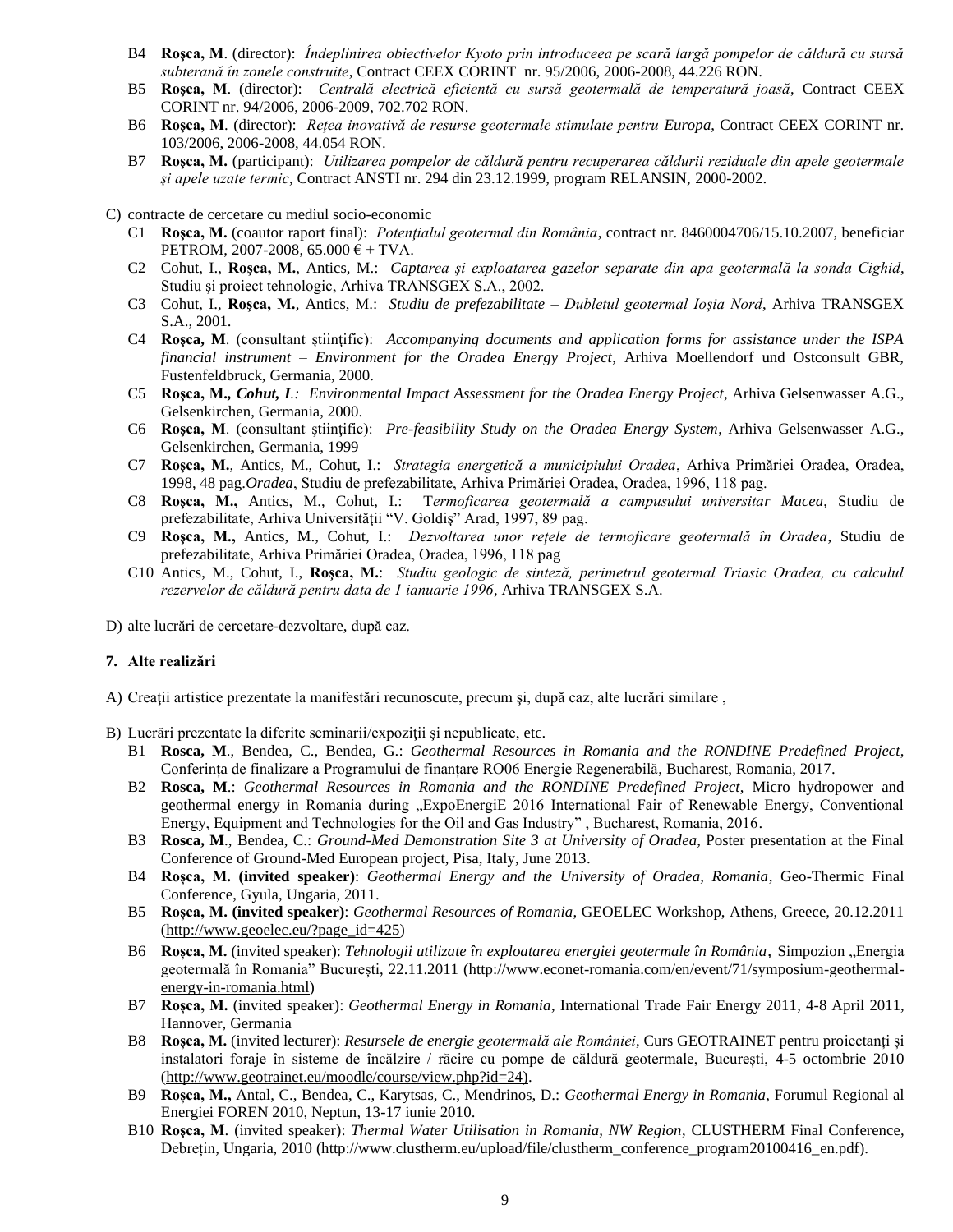- B4 **Roşca, M**. (director): *Îndeplinirea obiectivelor Kyoto prin introduceea pe scară largă pompelor de căldură cu sursă subterană în zonele construite*, Contract CEEX CORINT nr. 95/2006, 2006-2008, 44.226 RON.
- B5 **Roşca, M**. (director): *Centrală electrică eficientă cu sursă geotermală de temperatură joasă*, Contract CEEX CORINT nr. 94/2006, 2006-2009, 702.702 RON.
- B6 **Roşca, M**. (director): *Reţea inovativă de resurse geotermale stimulate pentru Europa*, Contract CEEX CORINT nr. 103/2006, 2006-2008, 44.054 RON.
- B7 **Roşca, M.** (participant): *Utilizarea pompelor de căldură pentru recuperarea căldurii reziduale din apele geotermale şi apele uzate termic*, Contract ANSTI nr. 294 din 23.12.1999, program RELANSIN, 2000-2002.

C) contracte de cercetare cu mediul socio-economic

- C1 **Roşca, M.** (coautor raport final): *Potenţialul geotermal din România*, contract nr. 8460004706/15.10.2007, beneficiar PETROM, 2007-2008, 65.000  $\epsilon$  + TVA.
- C2 Cohut, I., **Roşca, M.**, Antics, M.: *Captarea şi exploatarea gazelor separate din apa geotermală la sonda Cighid*, Studiu şi proiect tehnologic, Arhiva TRANSGEX S.A., 2002.
- C3 Cohut, I., **Roşca, M.**, Antics, M.: *Studiu de prefezabilitate – Dubletul geotermal Ioşia Nord*, Arhiva TRANSGEX S.A., 2001.
- C4 **Roşca, M**. (consultant ştiinţific): *Accompanying documents and application forms for assistance under the ISPA financial instrument – Environment for the Oradea Energy Project*, Arhiva Moellendorf und Ostconsult GBR, Fustenfeldbruck, Germania, 2000.
- C5 **Roşca, M.***, Cohut, I.: Environmental Impact Assessment for the Oradea Energy Project*, Arhiva Gelsenwasser A.G., Gelsenkirchen, Germania, 2000.
- C6 **Roşca, M**. (consultant ştiinţific): *Pre-feasibility Study on the Oradea Energy System*, Arhiva Gelsenwasser A.G., Gelsenkirchen, Germania, 1999
- C7 **Roşca, M.**, Antics, M., Cohut, I.: *Strategia energetică a municipiului Oradea*, Arhiva Primăriei Oradea, Oradea, 1998, 48 pag.*Oradea*, Studiu de prefezabilitate, Arhiva Primăriei Oradea, Oradea, 1996, 118 pag.
- C8 **Roşca, M.,** Antics, M., Cohut, I.: T*ermoficarea geotermală a campusului universitar Macea*, Studiu de prefezabilitate, Arhiva Universităţii "V. Goldiş" Arad, 1997, 89 pag.
- C9 **Roşca, M.,** Antics, M., Cohut, I.: *Dezvoltarea unor reţele de termoficare geotermală în Oradea*, Studiu de prefezabilitate, Arhiva Primăriei Oradea, Oradea, 1996, 118 pag
- C10 Antics, M., Cohut, I., **Roşca, M.**: *Studiu geologic de sinteză, perimetrul geotermal Triasic Oradea, cu calculul rezervelor de căldură pentru data de 1 ianuarie 1996*, Arhiva TRANSGEX S.A.
- D) alte lucrări de cercetare-dezvoltare, după caz.

#### **7. Alte realizări**

- A) Creatii artistice prezentate la manifestări recunoscute, precum și, după caz, alte lucrări similare,
- B) Lucrări prezentate la diferite seminarii/expoziţii şi nepublicate, etc.
	- B1 **Rosca, M**., Bendea, C., Bendea, G.: *Geothermal Resources in Romania and the RONDINE Predefined Project*, Conferința de finalizare a Programului de finanțare RO06 Energie Regenerabilă, Bucharest, Romania, 2017.
	- B2 **Rosca, M**.: *Geothermal Resources in Romania and the RONDINE Predefined Project*, Micro hydropower and geothermal energy in Romania during "ExpoEnergiE 2016 International Fair of Renewable Energy, Conventional Energy, Equipment and Technologies for the Oil and Gas Industry" , Bucharest, Romania, 2016.
	- B3 **Rosca, M**., Bendea, C.: *Ground-Med Demonstration Site 3 at University of Oradea*, Poster presentation at the Final Conference of Ground-Med European project, Pisa, Italy, June 2013.
	- B4 **Roșca, M. (invited speaker)**: *Geothermal Energy and the University of Oradea, Romania*, Geo-Thermic Final Conference, Gyula, Ungaria, 2011.
	- B5 **Roșca, M. (invited speaker)**: *Geothermal Resources of Romania*, GEOELEC Workshop, Athens, Greece, 20.12.2011 [\(http://www.geoelec.eu/?page\\_id=425\)](http://www.geoelec.eu/?page_id=425)
	- B6 **Roșca, M.** (invited speaker): *Tehnologii utilizate în exploatarea energiei geotermale în România*, Simpozion "Energia geotermală în Romania" București, 22.11.2011 [\(http://www.econet-romania.com/en/event/71/symposium-geothermal](http://www.econet-romania.com/en/event/71/symposium-geothermal-energy-in-romania.html)[energy-in-romania.html\)](http://www.econet-romania.com/en/event/71/symposium-geothermal-energy-in-romania.html)
	- B7 **Roșca, M.** (invited speaker): *Geothermal Energy in Romania*, International Trade Fair Energy 2011, 4-8 April 2011, Hannover, Germania
	- B8 **Roșca, M.** (invited lecturer): *Resursele de energie geotermală ale României*, Curs GEOTRAINET pentru proiectanți și instalatori foraje în sisteme de încălzire / răcire cu pompe de căldură geotermale, București, 4-5 octombrie 2010 [\(http://www.geotrainet.eu/moodle/course/view.php?id=24\).](http://www.geotrainet.eu/moodle/course/view.php?id=24))
	- B9 **Roșca, M.,** Antal, C., Bendea, C., Karytsas, C., Mendrinos, D.: *Geothermal Energy in Romania*, Forumul Regional al Energiei FOREN 2010, Neptun, 13-17 iunie 2010.
	- B10 **Roşca, M**. (invited speaker): *Thermal Water Utilisation in Romania, NW Region*, CLUSTHERM Final Conference, Debrețin, Ungaria, 2010 [\(http://www.clustherm.eu/upload/file/clustherm\\_conference\\_program20100416\\_en.pdf\)](http://www.clustherm.eu/upload/file/clustherm_conference_program20100416_en.pdf).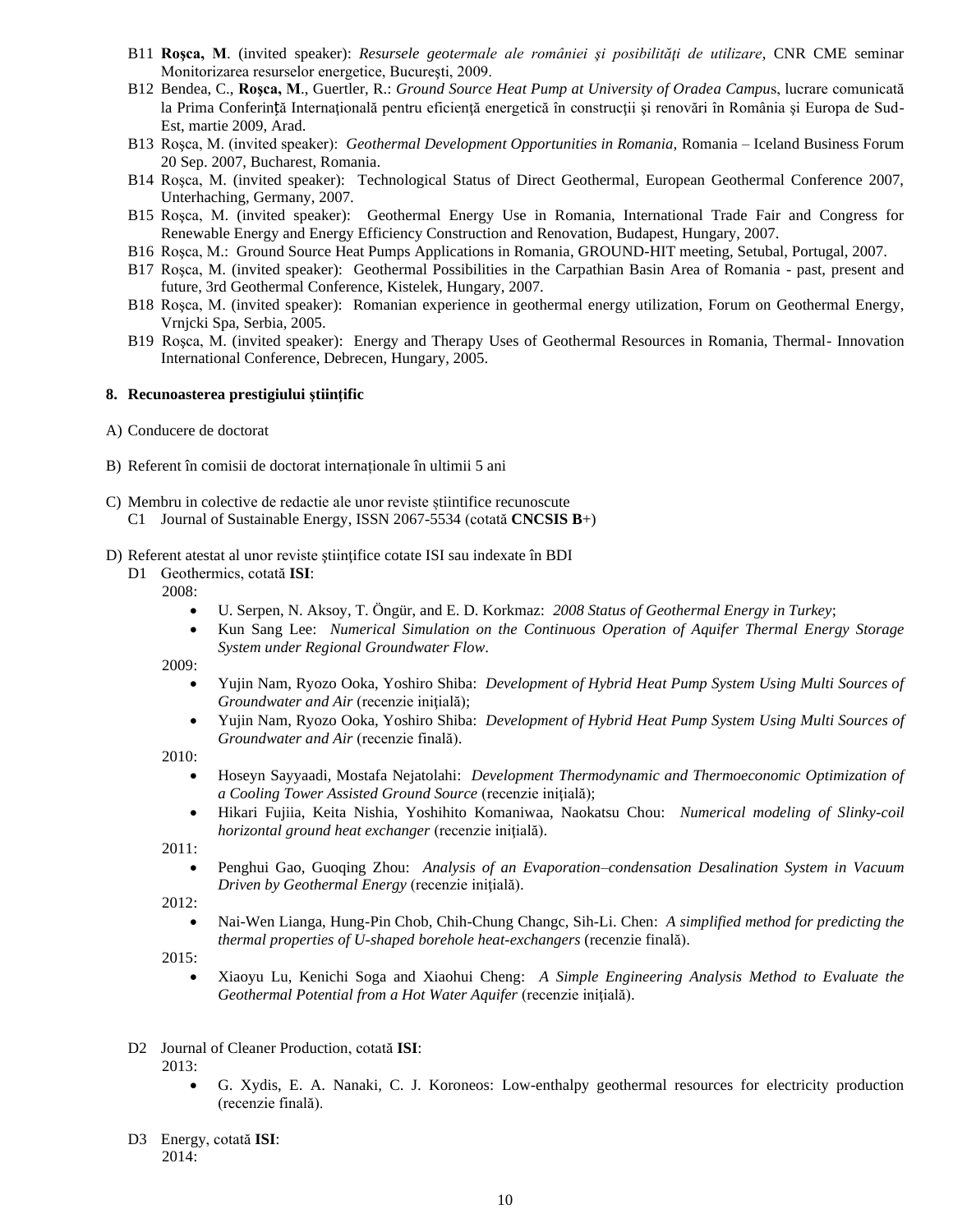- B11 **Roşca, M**. (invited speaker): *Resursele geotermale ale româniei şi posibilităţi de utilizare*, CNR CME seminar Monitorizarea resurselor energetice, Bucureşti, 2009.
- B12 Bendea, C., **Roşca, M**., Guertler, R.: *Ground Source Heat Pump at University of Oradea Campu*s, lucrare comunicată la Prima Conferință Internațională pentru eficiență energetică în construcții și renovări în România și Europa de Sud-Est, martie 2009, Arad.
- B13 Roşca, M. (invited speaker): *Geothermal Development Opportunities in Romania,* Romania Iceland Business Forum 20 Sep. 2007, Bucharest, Romania.
- B14 Roşca, M. (invited speaker): Technological Status of Direct Geothermal, European Geothermal Conference 2007, Unterhaching, Germany, 2007.
- B15 Roşca, M. (invited speaker): Geothermal Energy Use in Romania, International Trade Fair and Congress for Renewable Energy and Energy Efficiency Construction and Renovation, Budapest, Hungary, 2007.
- B16 Roşca, M.: Ground Source Heat Pumps Applications in Romania, GROUND-HIT meeting, Setubal, Portugal, 2007.
- B17 Roşca, M. (invited speaker): Geothermal Possibilities in the Carpathian Basin Area of Romania past, present and future, 3rd Geothermal Conference, Kistelek, Hungary, 2007.
- B18 Roşca, M. (invited speaker): Romanian experience in geothermal energy utilization, Forum on Geothermal Energy, Vrnjcki Spa, Serbia, 2005.
- B19 Roşca, M. (invited speaker): Energy and Therapy Uses of Geothermal Resources in Romania, Thermal- Innovation International Conference, Debrecen, Hungary, 2005.

### **8. Recunoasterea prestigiului ştiinţific**

- A) Conducere de doctorat
- B) Referent în comisii de doctorat internaționale în ultimii 5 ani
- C) Membru in colective de redactie ale unor reviste știintifice recunoscute
	- C1 Journal of Sustainable Energy, ISSN 2067-5534 (cotată **CNCSIS B**+)
- D) Referent atestat al unor reviste ştiinţifice cotate ISI sau indexate în BDI
	- D1 Geothermics, cotată **ISI**:
		- 2008:
			- U. Serpen, N. Aksoy, T. Öngür, and E. D. Korkmaz: *2008 Status of Geothermal Energy in Turkey*;
			- Kun Sang Lee: *Numerical Simulation on the Continuous Operation of Aquifer Thermal Energy Storage System under Regional Groundwater Flow*.

2009:

- Yujin Nam, Ryozo Ooka, Yoshiro Shiba: *Development of Hybrid Heat Pump System Using Multi Sources of Groundwater and Air* (recenzie iniţială);
- Yujin Nam, Ryozo Ooka, Yoshiro Shiba: *Development of Hybrid Heat Pump System Using Multi Sources of Groundwater and Air* (recenzie finală).

2010:

- Hoseyn Sayyaadi, Mostafa Nejatolahi: *Development Thermodynamic and Thermoeconomic Optimization of a Cooling Tower Assisted Ground Source* (recenzie iniţială);
- Hikari Fujiia, Keita Nishia, Yoshihito Komaniwaa, Naokatsu Chou: *Numerical modeling of Slinky-coil horizontal ground heat exchanger* (recenzie iniţială).

2011:

• Penghui Gao, Guoqing Zhou: *Analysis of an Evaporation–condensation Desalination System in Vacuum Driven by Geothermal Energy* (recenzie iniţială).

2012:

• Nai-Wen Lianga, Hung-Pin Chob, Chih-Chung Changc, Sih-Li. Chen: *A simplified method for predicting the thermal properties of U-shaped borehole heat-exchangers* (recenzie finală).

2015:

- Xiaoyu Lu, Kenichi Soga and Xiaohui Cheng: *A Simple Engineering Analysis Method to Evaluate the Geothermal Potential from a Hot Water Aquifer* (recenzie iniţială).
- D2 Journal of Cleaner Production, cotată **ISI**:

2013:

- G. Xydis, E. A. Nanaki, C. J. Koroneos: Low-enthalpy geothermal resources for electricity production (recenzie finală).
- D3 Energy, cotată **ISI**: 2014: